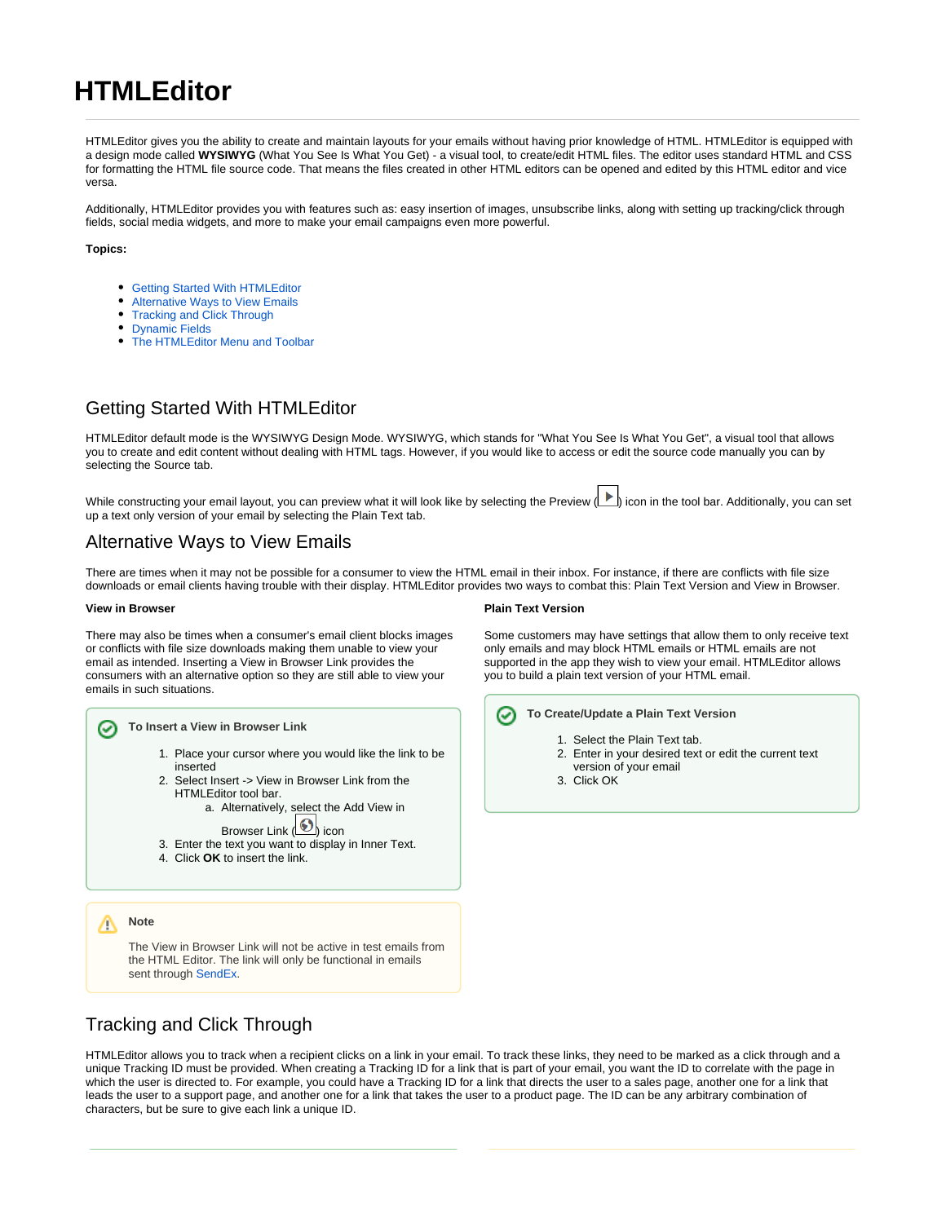# **HTMLEditor**

HTMLEditor gives you the ability to create and maintain layouts for your emails without having prior knowledge of HTML. HTMLEditor is equipped with a design mode called **WYSIWYG** (What You See Is What You Get) - a visual tool, to create/edit HTML files. The editor uses standard HTML and CSS for formatting the HTML file source code. That means the files created in other HTML editors can be opened and edited by this HTML editor and vice versa.

Additionally, HTMLEditor provides you with features such as: easy insertion of images, unsubscribe links, along with setting up tracking/click through fields, social media widgets, and more to make your email campaigns even more powerful.

**Topics:**

- [Getting Started With HTMLEditor](#page-0-0)
- [Alternative Ways to View Emails](#page-0-1)
- [Tracking and Click Through](#page-0-2)
- [Dynamic Fields](#page-1-0)
- [The HTMLEditor Menu and Toolbar](#page-1-1)

### <span id="page-0-0"></span>Getting Started With HTMLEditor

HTMLEditor default mode is the WYSIWYG Design Mode. WYSIWYG, which stands for "What You See Is What You Get", a visual tool that allows you to create and edit content without dealing with HTML tags. However, if you would like to access or edit the source code manually you can by selecting the Source tab.

While constructing your email layout, you can preview what it will look like by selecting the Preview (I icon in the tool bar. Additionally, you can set up a text only version of your email by selecting the Plain Text tab.

### <span id="page-0-1"></span>Alternative Ways to View Emails

There are times when it may not be possible for a consumer to view the HTML email in their inbox. For instance, if there are conflicts with file size downloads or email clients having trouble with their display. HTMLEditor provides two ways to combat this: Plain Text Version and View in Browser.

#### **View in Browser**

There may also be times when a consumer's email client blocks images or conflicts with file size downloads making them unable to view your email as intended. Inserting a View in Browser Link provides the consumers with an alternative option so they are still able to view your emails in such situations.



The View in Browser Link will not be active in test emails from the HTML Editor. The link will only be functional in emails sent through [SendEx](https://knowledgebase.marketwide.online/display/MKB/SendEx).

#### **Plain Text Version**

Some customers may have settings that allow them to only receive text only emails and may block HTML emails or HTML emails are not supported in the app they wish to view your email. HTMLEditor allows you to build a plain text version of your HTML email.



- 1. Select the Plain Text tab.
- 2. Enter in your desired text or edit the current text
- version of your email
- 3. Click OK

# <span id="page-0-2"></span>Tracking and Click Through

HTMLEditor allows you to track when a recipient clicks on a link in your email. To track these links, they need to be marked as a click through and a unique Tracking ID must be provided. When creating a Tracking ID for a link that is part of your email, you want the ID to correlate with the page in which the user is directed to. For example, you could have a Tracking ID for a link that directs the user to a sales page, another one for a link that leads the user to a support page, and another one for a link that takes the user to a product page. The ID can be any arbitrary combination of characters, but be sure to give each link a unique ID.

Λ

⊘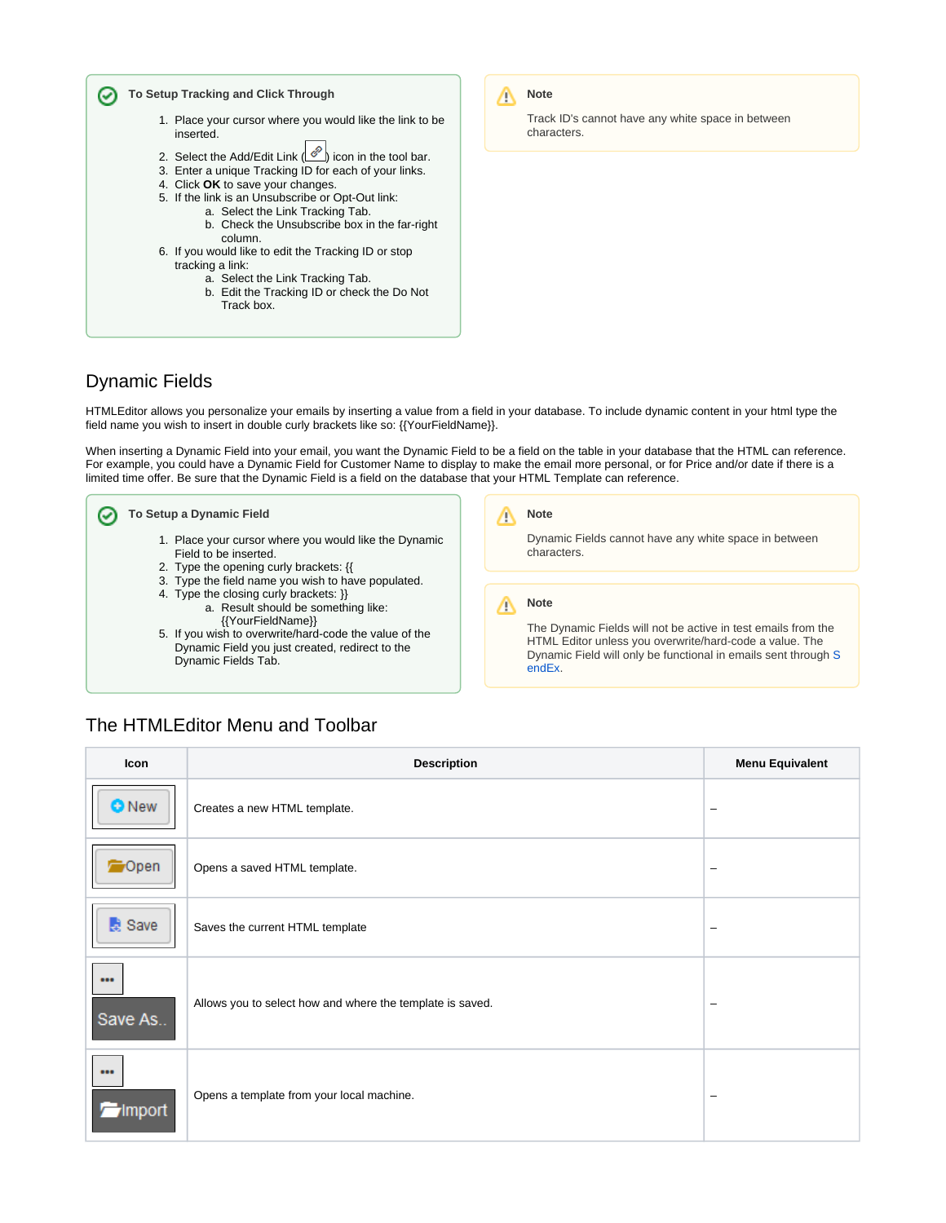

# <span id="page-1-0"></span>Dynamic Fields

HTMLEditor allows you personalize your emails by inserting a value from a field in your database. To include dynamic content in your html type the field name you wish to insert in double curly brackets like so: {{YourFieldName}}.

When inserting a Dynamic Field into your email, you want the Dynamic Field to be a field on the table in your database that the HTML can reference. For example, you could have a Dynamic Field for Customer Name to display to make the email more personal, or for Price and/or date if there is a limited time offer. Be sure that the Dynamic Field is a field on the database that your HTML Template can reference.



5. If you wish to overwrite/hard-code the value of the

Dynamic Field you just created, redirect to the

The Dynamic Fields will not be active in test emails from the HTML Editor unless you overwrite/hard-code a value. The Dynamic Field will only be functional in emails sent through [S](https://knowledgebase.marketwide.online/display/MKB/SendEx) [endEx.](https://knowledgebase.marketwide.online/display/MKB/SendEx)

## <span id="page-1-1"></span>The HTMLEditor Menu and Toolbar

Dynamic Fields Tab.

| Icon               | <b>Description</b>                                        | <b>Menu Equivalent</b>   |
|--------------------|-----------------------------------------------------------|--------------------------|
| <b>O</b> New       | Creates a new HTML template.                              | $\overline{\phantom{m}}$ |
| <del>b</del> ∕Open | Opens a saved HTML template.                              | $\overline{\phantom{m}}$ |
| Save               | Saves the current HTML template                           | $\overline{\phantom{m}}$ |
| <br>Save As        | Allows you to select how and where the template is saved. | $\overline{\phantom{m}}$ |
| <br><b>import</b>  | Opens a template from your local machine.                 | $\overline{\phantom{m}}$ |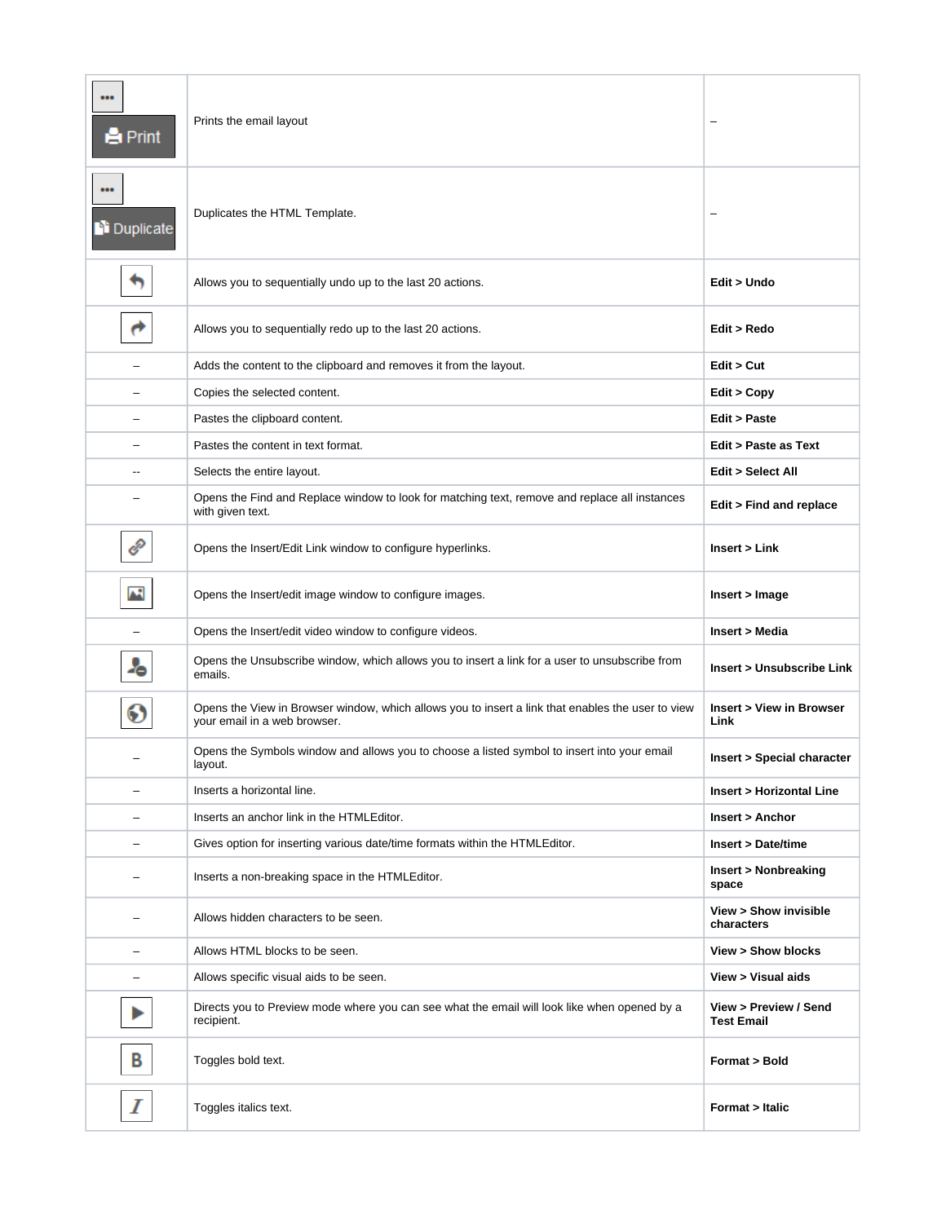| <br><b>A</b> Print   | Prints the email layout                                                                                                           | -                                          |
|----------------------|-----------------------------------------------------------------------------------------------------------------------------------|--------------------------------------------|
| <br><b>Duplicate</b> | Duplicates the HTML Template.                                                                                                     |                                            |
|                      | Allows you to sequentially undo up to the last 20 actions.                                                                        | Edit > Undo                                |
|                      | Allows you to sequentially redo up to the last 20 actions.                                                                        | Edit > Redo                                |
|                      | Adds the content to the clipboard and removes it from the layout.                                                                 | Edit > Cut                                 |
|                      | Copies the selected content.                                                                                                      | Edit > Copy                                |
|                      | Pastes the clipboard content.                                                                                                     | <b>Edit &gt; Paste</b>                     |
|                      | Pastes the content in text format.                                                                                                | Edit > Paste as Text                       |
| --                   | Selects the entire layout.                                                                                                        | Edit > Select All                          |
|                      | Opens the Find and Replace window to look for matching text, remove and replace all instances<br>with given text.                 | Edit > Find and replace                    |
| P                    | Opens the Insert/Edit Link window to configure hyperlinks.                                                                        | Insert > Link                              |
| M                    | Opens the Insert/edit image window to configure images.                                                                           | Insert > Image                             |
|                      | Opens the Insert/edit video window to configure videos.                                                                           | <b>Insert &gt; Media</b>                   |
| Ą,                   | Opens the Unsubscribe window, which allows you to insert a link for a user to unsubscribe from<br>emails.                         | Insert > Unsubscribe Link                  |
| O                    | Opens the View in Browser window, which allows you to insert a link that enables the user to view<br>your email in a web browser. | Insert > View in Browser<br>Link           |
|                      | Opens the Symbols window and allows you to choose a listed symbol to insert into your email<br>layout.                            | Insert > Special character                 |
| —                    | Inserts a horizontal line.                                                                                                        | Insert > Horizontal Line                   |
|                      | Inserts an anchor link in the HTMLEditor.                                                                                         | Insert > Anchor                            |
|                      | Gives option for inserting various date/time formats within the HTMLEditor.                                                       | <b>Insert &gt; Date/time</b>               |
|                      | Inserts a non-breaking space in the HTMLEditor.                                                                                   | Insert > Nonbreaking<br>space              |
|                      | Allows hidden characters to be seen.                                                                                              | View > Show invisible<br>characters        |
|                      | Allows HTML blocks to be seen.                                                                                                    | View > Show blocks                         |
|                      | Allows specific visual aids to be seen.                                                                                           | View > Visual aids                         |
|                      | Directs you to Preview mode where you can see what the email will look like when opened by a<br>recipient.                        | View > Preview / Send<br><b>Test Email</b> |
| В                    | Toggles bold text.                                                                                                                | Format > Bold                              |
| Ι                    | Toggles italics text.                                                                                                             | Format > Italic                            |